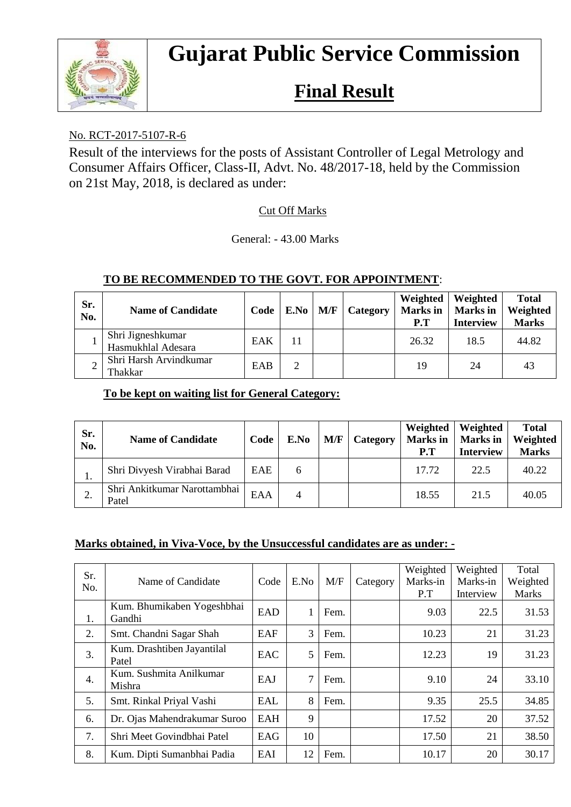

# **Gujarat Public Service Commission**

# **Final Result**

## No. RCT-2017-5107-R-6

Result of the interviews for the posts of Assistant Controller of Legal Metrology and Consumer Affairs Officer, Class-II, Advt. No. 48/2017-18, held by the Commission on 21st May, 2018, is declared as under:

### Cut Off Marks

General: - 43.00 Marks

| Sr.<br>No. | <b>Name of Candidate</b>                | Code | $E.No$   $M/F$ | Category | Weighted<br>Marks in<br>P.T | Weighted<br><b>Marks</b> in<br><b>Interview</b> | <b>Total</b><br>Weighted<br><b>Marks</b> |
|------------|-----------------------------------------|------|----------------|----------|-----------------------------|-------------------------------------------------|------------------------------------------|
|            | Shri Jigneshkumar<br>Hasmukhlal Adesara | EAK  | 11             |          | 26.32                       | 18.5                                            | 44.82                                    |
|            | Shri Harsh Arvindkumar<br>Thakkar       | EAB  | 2              |          | 19                          | 24                                              | 43                                       |

#### **TO BE RECOMMENDED TO THE GOVT. FOR APPOINTMENT**:

#### **To be kept on waiting list for General Category:**

| Sr.<br>No. | <b>Name of Candidate</b>              | Code | E.No | M/F | Category | Weighted<br><b>Marks</b> in<br>P.T | Weighted<br><b>Marks</b> in<br><b>Interview</b> | <b>Total</b><br>Weighted<br><b>Marks</b> |
|------------|---------------------------------------|------|------|-----|----------|------------------------------------|-------------------------------------------------|------------------------------------------|
| ı.         | Shri Divyesh Virabhai Barad           | EAE  | 6    |     |          | 17.72                              | 22.5                                            | 40.22                                    |
| ۷.         | Shri Ankitkumar Narottambhai<br>Patel | EAA  | 4    |     |          | 18.55                              | 21.5                                            | 40.05                                    |

#### **Marks obtained, in Viva-Voce, by the Unsuccessful candidates are as under: -**

| Sr.              | Name of Candidate                    | Code       | E.No | M/F  | Category | Weighted<br>Marks-in | Weighted<br>Marks-in | Total<br>Weighted |
|------------------|--------------------------------------|------------|------|------|----------|----------------------|----------------------|-------------------|
| No.              |                                      |            |      |      |          | P.T                  | Interview            | <b>Marks</b>      |
| 1.               | Kum. Bhumikaben Yogeshbhai<br>Gandhi | <b>EAD</b> |      | Fem. |          | 9.03                 | 22.5                 | 31.53             |
| 2.               | Smt. Chandni Sagar Shah              | EAF        | 3    | Fem. |          | 10.23                | 21                   | 31.23             |
| 3.               | Kum. Drashtiben Jayantilal<br>Patel  | EAC        | 5    | Fem. |          | 12.23                | 19                   | 31.23             |
| $\overline{4}$ . | Kum. Sushmita Anilkumar<br>Mishra    | EAJ        | 7    | Fem. |          | 9.10                 | 24                   | 33.10             |
| 5.               | Smt. Rinkal Priyal Vashi             | EAL        | 8    | Fem. |          | 9.35                 | 25.5                 | 34.85             |
| 6.               | Dr. Ojas Mahendrakumar Suroo         | EAH        | 9    |      |          | 17.52                | 20                   | 37.52             |
| 7.               | Shri Meet Govindbhai Patel           | EAG        | 10   |      |          | 17.50                | 21                   | 38.50             |
| 8.               | Kum. Dipti Sumanbhai Padia           | EAI        | 12   | Fem. |          | 10.17                | 20                   | 30.17             |